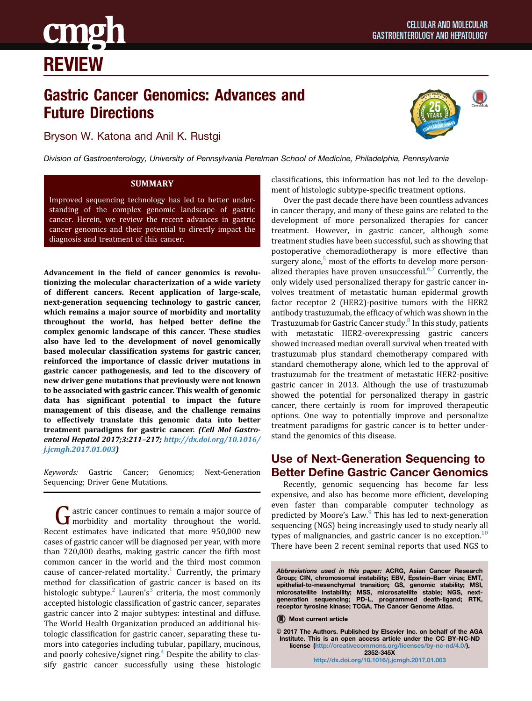

## Gastric Cancer Genomics: Advances and Future Directions

Bryson W. Katona and Anil K. Rustgi



Division of Gastroenterology, University of Pennsylvania Perelman School of Medicine, Philadelphia, Pennsylvania

## **SUMMARY**

Improved sequencing technology has led to better understanding of the complex genomic landscape of gastric cancer. Herein, we review the recent advances in gastric cancer genomics and their potential to directly impact the diagnosis and treatment of this cancer.

Advancement in the field of cancer genomics is revolutionizing the molecular characterization of a wide variety of different cancers. Recent application of large-scale, next-generation sequencing technology to gastric cancer, which remains a major source of morbidity and mortality throughout the world, has helped better define the complex genomic landscape of this cancer. These studies also have led to the development of novel genomically based molecular classification systems for gastric cancer, reinforced the importance of classic driver mutations in gastric cancer pathogenesis, and led to the discovery of new driver gene mutations that previously were not known to be associated with gastric cancer. This wealth of genomic data has significant potential to impact the future management of this disease, and the challenge remains to effectively translate this genomic data into better treatment paradigms for gastric cancer. (Cell Mol Gastroenterol Hepatol 2017;3:211–217; [http://dx.doi.org/10.1016/](http://dx.doi.org/10.1016/j.jcmgh.2017.01.003) [j.jcmgh.2017.01.003](http://dx.doi.org/10.1016/j.jcmgh.2017.01.003))

Keywords: Gastric Cancer; Genomics; Next-Generation Sequencing; Driver Gene Mutations.

Gastric cancer continues to remain a major source of<br>morbidity and mortality throughout the world. Recent estimates have indicated that more 950,000 new cases of gastric cancer will be diagnosed per year, with more than 720,000 deaths, making gastric cancer the fifth most common cancer in the world and the third most common cause of cancer-related mortality.<sup>[1](#page--1-0)</sup> Currently, the primary method for classification of gastric cancer is based on its histologic subtype.<sup>[2](#page--1-0)</sup> Lauren's<sup>[3](#page--1-0)</sup> criteria, the most commonly accepted histologic classification of gastric cancer, separates gastric cancer into 2 major subtypes: intestinal and diffuse. The World Health Organization produced an additional histologic classification for gastric cancer, separating these tumors into categories including tubular, papillary, mucinous, and poorly cohesive/signet ring. $4$  Despite the ability to classify gastric cancer successfully using these histologic classifications, this information has not led to the development of histologic subtype-specific treatment options.

Over the past decade there have been countless advances in cancer therapy, and many of these gains are related to the development of more personalized therapies for cancer treatment. However, in gastric cancer, although some treatment studies have been successful, such as showing that postoperative chemoradiotherapy is more effective than surgery alone, $5 \text{ most of the efforts to develop more person-}$  $5 \text{ most of the efforts to develop more person-}$ alized therapies have proven unsuccessful. $6,7$  Currently, the only widely used personalized therapy for gastric cancer involves treatment of metastatic human epidermal growth factor receptor 2 (HER2)-positive tumors with the HER2 antibody trastuzumab, the efficacy of which was shown in the Trastuzumab for Gastric Cancer study.<sup>[8](#page--1-0)</sup> In this study, patients with metastatic HER2-overexpressing gastric cancers showed increased median overall survival when treated with trastuzumab plus standard chemotherapy compared with standard chemotherapy alone, which led to the approval of trastuzumab for the treatment of metastatic HER2-positive gastric cancer in 2013. Although the use of trastuzumab showed the potential for personalized therapy in gastric cancer, there certainly is room for improved therapeutic options. One way to potentially improve and personalize treatment paradigms for gastric cancer is to better understand the genomics of this disease.

## Use of Next-Generation Sequencing to Better Define Gastric Cancer Genomics

Recently, genomic sequencing has become far less expensive, and also has become more efficient, developing even faster than comparable computer technology as predicted by Moore's Law.<sup>[9](#page--1-0)</sup> This has led to next-generation sequencing (NGS) being increasingly used to study nearly all types of malignancies, and gastric cancer is no exception. $10$ There have been 2 recent seminal reports that used NGS to

© 2017 The Authors. Published by Elsevier Inc. on behalf of the AGA Institute. This is an open access article under the CC BY-NC-ND license ([http://creativecommons.org/licenses/by-nc-nd/4.0/\)](http://creativecommons.org/licenses/by-nc-nd/4.0/). 2352-345X <http://dx.doi.org/10.1016/j.jcmgh.2017.01.003>

Abbreviations used in this paper: ACRG, Asian Cancer Research Group; CIN, chromosomal instability; EBV, Epstein–Barr virus; EMT, epithelial-to-mesenchymal transition; GS, genomic stability; MSI, microsatellite instability; MSS, microsatellite stable; NGS, nextgeneration sequencing; PD-L, programmed death-ligand; RTK, receptor tyrosine kinase; TCGA, The Cancer Genome Atlas.

<sup>(</sup>R) Most current article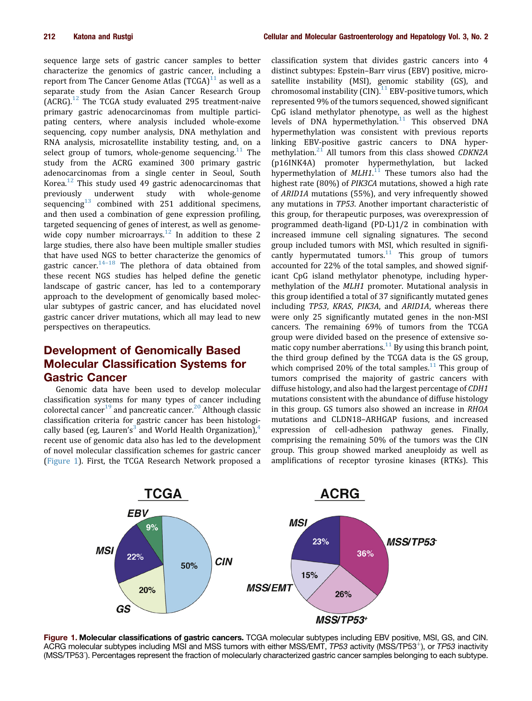sequence large sets of gastric cancer samples to better characterize the genomics of gastric cancer, including a report from The Cancer Genome Atlas  $(TCGA)^{11}$  $(TCGA)^{11}$  $(TCGA)^{11}$  as well as a separate study from the Asian Cancer Research Group  $(ACRG).$ <sup>[12](#page--1-0)</sup> The TCGA study evaluated 295 treatment-naive primary gastric adenocarcinomas from multiple participating centers, where analysis included whole-exome sequencing, copy number analysis, DNA methylation and RNA analysis, microsatellite instability testing, and, on a select group of tumors, whole-genome sequencing.<sup>[11](#page--1-0)</sup> The study from the ACRG examined 300 primary gastric adenocarcinomas from a single center in Seoul, South Korea.<sup>[12](#page--1-0)</sup> This study used 49 gastric adenocarcinomas that previously underwent study with whole-genome sequencing $^{13}$  $^{13}$  $^{13}$  combined with 251 additional specimens, and then used a combination of gene expression profiling, targeted sequencing of genes of interest, as well as genomewide copy number microarrays. $12$  In addition to these 2 large studies, there also have been multiple smaller studies that have used NGS to better characterize the genomics of gastric cancer.<sup>[14](#page--1-0)–[18](#page--1-0)</sup> The plethora of data obtained from these recent NGS studies has helped define the genetic landscape of gastric cancer, has led to a contemporary approach to the development of genomically based molecular subtypes of gastric cancer, and has elucidated novel gastric cancer driver mutations, which all may lead to new perspectives on therapeutics.

## Development of Genomically Based Molecular Classification Systems for Gastric Cancer

Genomic data have been used to develop molecular classification systems for many types of cancer including colorectal cancer<sup>[19](#page--1-0)</sup> and pancreatic cancer.<sup>[20](#page--1-0)</sup> Although classic classification criteria for gastric cancer has been histologi-cally based (eg, Lauren's<sup>[3](#page--1-0)</sup> and World Health Organization),<sup>[4](#page--1-0)</sup> recent use of genomic data also has led to the development of novel molecular classification schemes for gastric cancer (Figure 1). First, the TCGA Research Network proposed a

classification system that divides gastric cancers into 4 distinct subtypes: Epstein–Barr virus (EBV) positive, microsatellite instability (MSI), genomic stability (GS), and chromosomal instability  $(CIN)^{11}$  $(CIN)^{11}$  $(CIN)^{11}$  EBV-positive tumors, which represented 9% of the tumors sequenced, showed significant CpG island methylator phenotype, as well as the highest levels of DNA hypermethylation.<sup>[11](#page--1-0)</sup> This observed DNA hypermethylation was consistent with previous reports linking EBV-positive gastric cancers to DNA hyper-methylation.<sup>[21](#page--1-0)</sup> All tumors from this class showed CDKN2A (p16INK4A) promoter hypermethylation, but lacked hypermethylation of MLH1.<sup>[11](#page--1-0)</sup> These tumors also had the highest rate (80%) of PIK3CA mutations, showed a high rate of ARID1A mutations (55%), and very infrequently showed any mutations in TP53. Another important characteristic of this group, for therapeutic purposes, was overexpression of programmed death-ligand (PD-L)1/2 in combination with increased immune cell signaling signatures. The second group included tumors with MSI, which resulted in signifi-cantly hypermutated tumors.<sup>[11](#page--1-0)</sup> This group of tumors accounted for 22% of the total samples, and showed significant CpG island methylator phenotype, including hypermethylation of the MLH1 promoter. Mutational analysis in this group identified a total of 37 significantly mutated genes including TP53, KRAS, PIK3A, and ARID1A, whereas there were only 25 significantly mutated genes in the non-MSI cancers. The remaining 69% of tumors from the TCGA group were divided based on the presence of extensive so-matic copy number aberrations.<sup>[11](#page--1-0)</sup> By using this branch point, the third group defined by the TCGA data is the GS group, which comprised 20% of the total samples.<sup>[11](#page--1-0)</sup> This group of tumors comprised the majority of gastric cancers with diffuse histology, and also had the largest percentage of CDH1 mutations consistent with the abundance of diffuse histology in this group. GS tumors also showed an increase in RHOA mutations and CLDN18–ARHGAP fusions, and increased expression of cell-adhesion pathway genes. Finally, comprising the remaining 50% of the tumors was the CIN group. This group showed marked aneuploidy as well as amplifications of receptor tyrosine kinases (RTKs). This



Figure 1. Molecular classifications of gastric cancers. TCGA molecular subtypes including EBV positive, MSI, GS, and CIN. ACRG molecular subtypes including MSI and MSS tumors with either MSS/EMT, TP53 activity (MSS/TP53<sup>+</sup>), or TP53 inactivity (MSS/TP53<sup>-</sup>). Percentages represent the fraction of molecularly characterized gastric cancer samples belonging to each subtype.